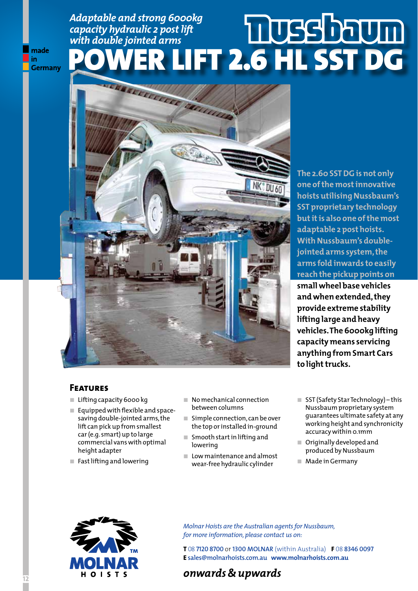### *Adaptable and strong 6000kg capacity hydraulic 2 post lift with double jointed arms* Power Lift 2.6 HL SST DG **Germany**



**The 2.60 SST DG is not only one of the most innovative hoists utilising Nussbaum's SST proprietary technology but it is also one of the most adaptable 2 post hoists. With Nussbaum's doublejointed arms system, the arms fold inwards to easily reach the pickup points on small wheel base vehicles and when extended, they provide extreme stability lifting large and heavy vehicles. The 6000kg lifting capacity means servicing anything from Smart Cars to light trucks.**

#### **Features**

made in

- **ó** Lifting capacity 6000 kg
- **ó** Equipped with flexible and spacesaving double-jointed arms, the lift can pick up from smallest car (e.g. smart) up to large commercial vans with optimal height adapter
- **ó** Fast lifting and lowering
- No mechanical connection between columns
- **Simple connection, can be over** the top or installed in-ground
- Smooth start in lifting and lowering
- **ó** Low maintenance and almost wear-free hydraulic cylinder
- SST (Safety Star Technology) this Nussbaum proprietary system guarantees ultimate safety at any working height and synchronicity accuracy within 0.1mm
- **ó** Originally developed and produced by Nussbaum
- **ó** Made in Germany



*Molnar Hoists are the Australian agents for Nussbaum, for more information, please contact us on:*

**T** 08 **7120 8700** or **1300 MOLNAR** (within Australia) **F** 08 **8346 0097 E sales@molnarhoists.com.au www.molnarhoists.com.au**

## **o** 1 s T s **12 12** *onwards & upwards*